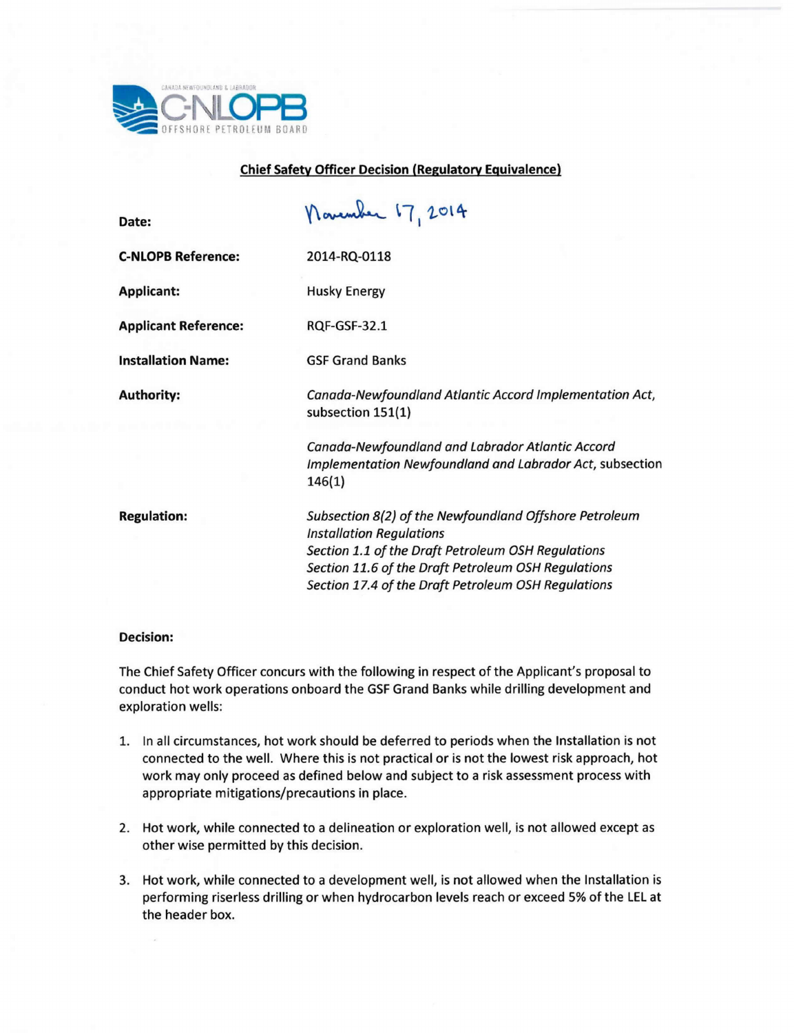

## **Chief Safety Officer Decision (Regulatory Equivalence)**

 $\sim$ 

| Date:                       | navember 17, 2014                                                                                                                                                                                                                                             |
|-----------------------------|---------------------------------------------------------------------------------------------------------------------------------------------------------------------------------------------------------------------------------------------------------------|
| <b>C-NLOPB Reference:</b>   | 2014-RQ-0118                                                                                                                                                                                                                                                  |
| <b>Applicant:</b>           | <b>Husky Energy</b>                                                                                                                                                                                                                                           |
| <b>Applicant Reference:</b> | <b>RQF-GSF-32.1</b>                                                                                                                                                                                                                                           |
| <b>Installation Name:</b>   | <b>GSF Grand Banks</b>                                                                                                                                                                                                                                        |
| <b>Authority:</b>           | Canada-Newfoundland Atlantic Accord Implementation Act,<br>subsection 151(1)                                                                                                                                                                                  |
|                             | Canada-Newfoundland and Labrador Atlantic Accord<br>Implementation Newfoundland and Labrador Act, subsection<br>146(1)                                                                                                                                        |
| <b>Regulation:</b>          | Subsection 8(2) of the Newfoundland Offshore Petroleum<br><b>Installation Regulations</b><br>Section 1.1 of the Draft Petroleum OSH Regulations<br>Section 11.6 of the Draft Petroleum OSH Regulations<br>Section 17.4 of the Draft Petroleum OSH Regulations |

## **Decision:**

The Chief Safety Officer concurs with the following in respect of the Applicant's proposal to conduct hot work operations onboard the GSFGrand Banks while drilling development and exploration wells:

- 1. In all circumstances, hot work should be deferred to periods when the Installation is not connected to the well. Where this is not practical or is not the lowest risk approach, hot work may only proceed as defined below and subject to a risk assessment process with appropriate mitigations/precautions in place.
- 2. Hot work, while connected to a delineation or exploration well, is not allowed except as other wise permitted by this decision.
- 3. Hot work, while connected to a development well, is not allowed when the Installation is performing riserless drilling or when hydrocarbon levels reach or exceed 5% of the LELat the header box.